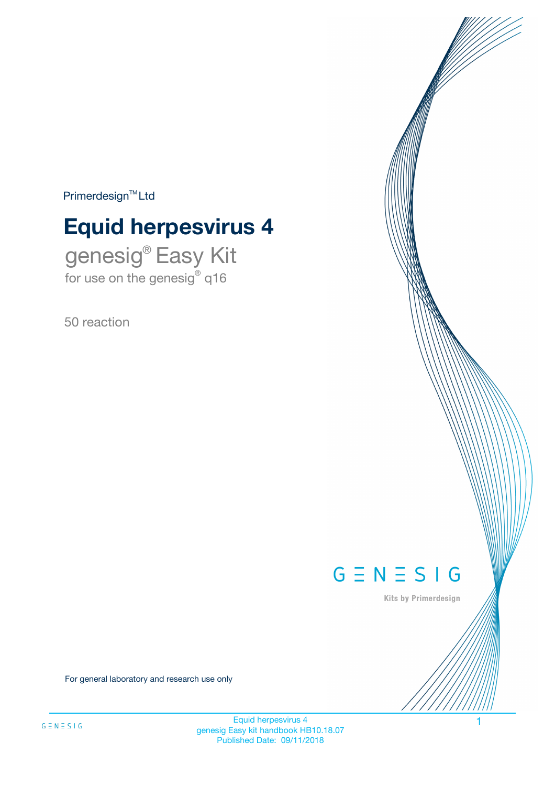$Primerdesign^{\text{TM}}Ltd$ 

# **Equid herpesvirus 4**

genesig® Easy Kit for use on the genesig® q16

50 reaction



Kits by Primerdesign

For general laboratory and research use only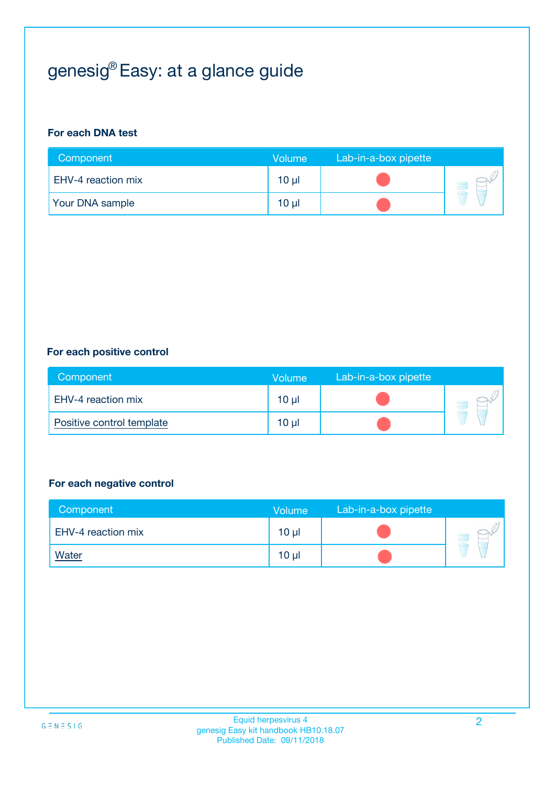# genesig® Easy: at a glance guide

#### **For each DNA test**

| Component              | <b>Volume</b> | Lab-in-a-box pipette |  |
|------------------------|---------------|----------------------|--|
| EHV-4 reaction mix     | 10 µl         |                      |  |
| <b>Your DNA sample</b> | $10 \mu$      |                      |  |

#### **For each positive control**

| Component                 | Volume          | Lab-in-a-box pipette |  |
|---------------------------|-----------------|----------------------|--|
| EHV-4 reaction mix        | 10 <sub>µ</sub> |                      |  |
| Positive control template | 10 <sub>µ</sub> |                      |  |

#### **For each negative control**

| Component          | <b>Volume</b>   | Lab-in-a-box pipette |  |
|--------------------|-----------------|----------------------|--|
| EHV-4 reaction mix | 10 <sub>µ</sub> |                      |  |
| <b>Water</b>       | 10 <sub>µ</sub> |                      |  |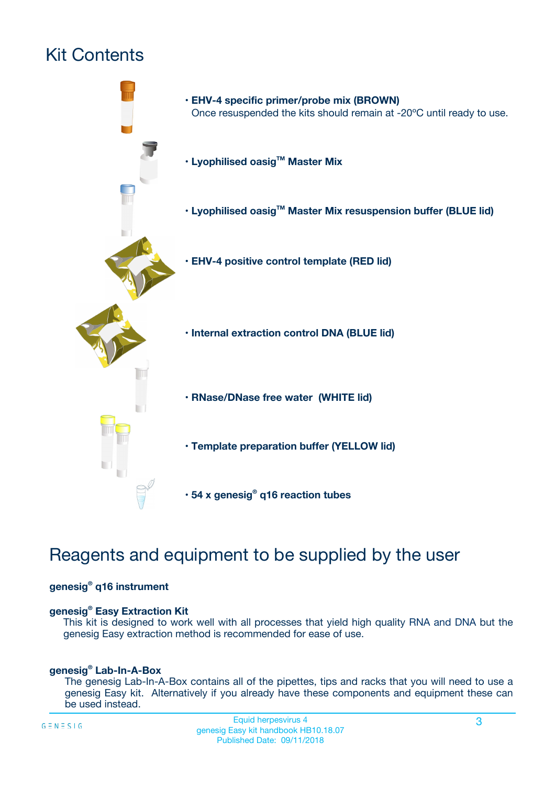# Kit Contents



## Reagents and equipment to be supplied by the user

#### **genesig® q16 instrument**

#### **genesig® Easy Extraction Kit**

This kit is designed to work well with all processes that yield high quality RNA and DNA but the genesig Easy extraction method is recommended for ease of use.

#### **genesig® Lab-In-A-Box**

The genesig Lab-In-A-Box contains all of the pipettes, tips and racks that you will need to use a genesig Easy kit. Alternatively if you already have these components and equipment these can be used instead.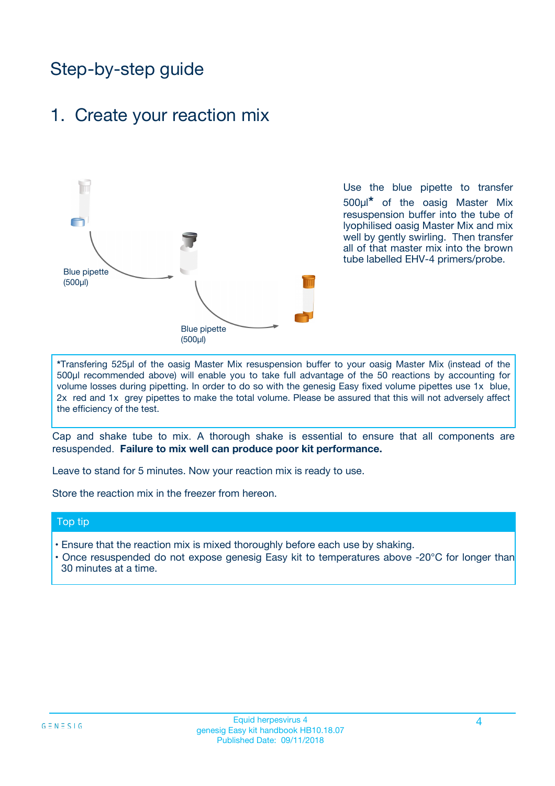## Step-by-step guide

### 1. Create your reaction mix



Use the blue pipette to transfer 500µl**\*** of the oasig Master Mix resuspension buffer into the tube of lyophilised oasig Master Mix and mix well by gently swirling. Then transfer all of that master mix into the brown tube labelled EHV-4 primers/probe.

**\***Transfering 525µl of the oasig Master Mix resuspension buffer to your oasig Master Mix (instead of the 500µl recommended above) will enable you to take full advantage of the 50 reactions by accounting for volume losses during pipetting. In order to do so with the genesig Easy fixed volume pipettes use 1x blue, 2x red and 1x grey pipettes to make the total volume. Please be assured that this will not adversely affect the efficiency of the test.

Cap and shake tube to mix. A thorough shake is essential to ensure that all components are resuspended. **Failure to mix well can produce poor kit performance.**

Leave to stand for 5 minutes. Now your reaction mix is ready to use.

Store the reaction mix in the freezer from hereon.

#### Top tip

- Ensure that the reaction mix is mixed thoroughly before each use by shaking.
- **•** Once resuspended do not expose genesig Easy kit to temperatures above -20°C for longer than 30 minutes at a time.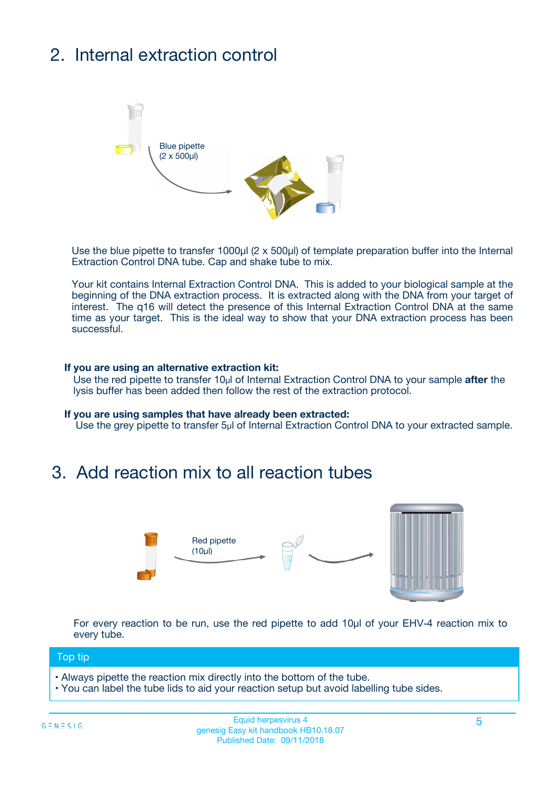# 2. Internal extraction control



Use the blue pipette to transfer 1000µl (2 x 500µl) of template preparation buffer into the Internal Extraction Control DNA tube. Cap and shake tube to mix.

Your kit contains Internal Extraction Control DNA. This is added to your biological sample at the beginning of the DNA extraction process. It is extracted along with the DNA from your target of interest. The q16 will detect the presence of this Internal Extraction Control DNA at the same time as your target. This is the ideal way to show that your DNA extraction process has been **successful.** 

#### **If you are using an alternative extraction kit:**

Use the red pipette to transfer 10µl of Internal Extraction Control DNA to your sample **after** the lysis buffer has been added then follow the rest of the extraction protocol.

#### **If you are using samples that have already been extracted:**

Use the grey pipette to transfer 5µl of Internal Extraction Control DNA to your extracted sample.

### 3. Add reaction mix to all reaction tubes



For every reaction to be run, use the red pipette to add 10µl of your EHV-4 reaction mix to every tube.

#### Top tip

- Always pipette the reaction mix directly into the bottom of the tube.
- You can label the tube lids to aid your reaction setup but avoid labelling tube sides.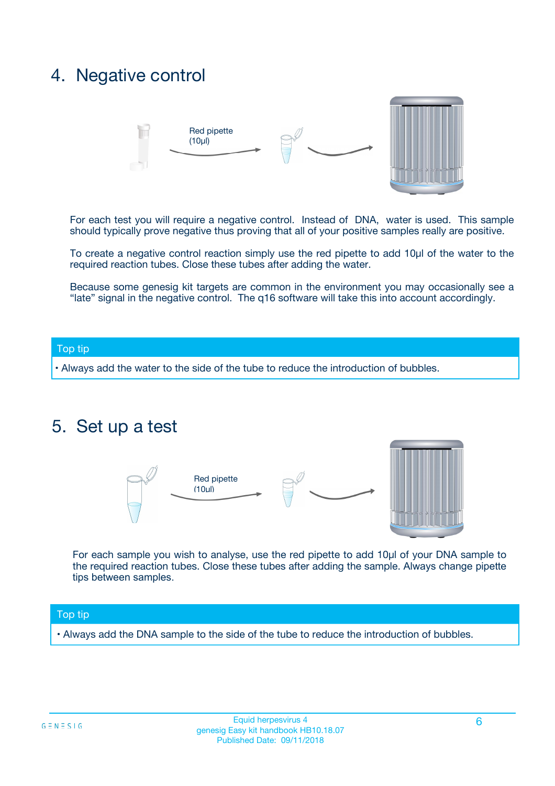## 4. Negative control



For each test you will require a negative control. Instead of DNA, water is used. This sample should typically prove negative thus proving that all of your positive samples really are positive.

To create a negative control reaction simply use the red pipette to add 10µl of the water to the required reaction tubes. Close these tubes after adding the water.

Because some genesig kit targets are common in the environment you may occasionally see a "late" signal in the negative control. The q16 software will take this into account accordingly.

#### Top tip

**•** Always add the water to the side of the tube to reduce the introduction of bubbles.

### 5. Set up a test



For each sample you wish to analyse, use the red pipette to add 10µl of your DNA sample to the required reaction tubes. Close these tubes after adding the sample. Always change pipette tips between samples.

#### Top tip

**•** Always add the DNA sample to the side of the tube to reduce the introduction of bubbles.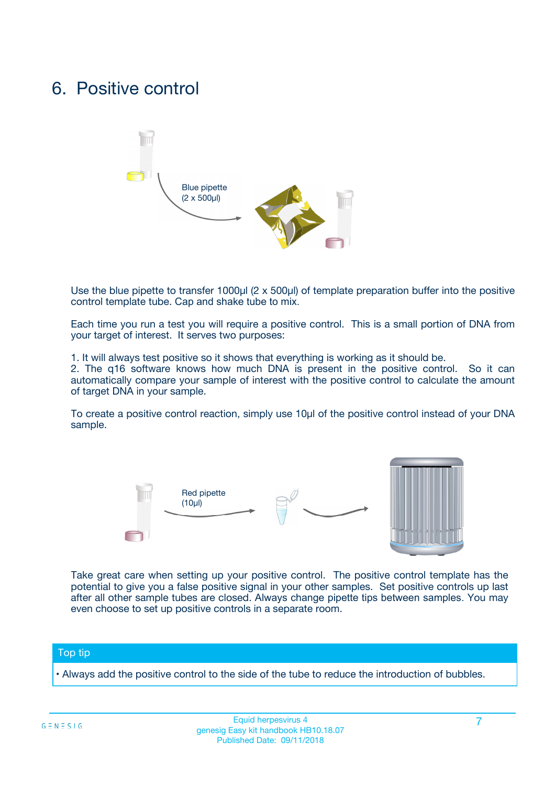## 6. Positive control



Use the blue pipette to transfer 1000µl (2 x 500µl) of template preparation buffer into the positive control template tube. Cap and shake tube to mix.

Each time you run a test you will require a positive control. This is a small portion of DNA from your target of interest. It serves two purposes:

1. It will always test positive so it shows that everything is working as it should be.

2. The q16 software knows how much DNA is present in the positive control. So it can automatically compare your sample of interest with the positive control to calculate the amount of target DNA in your sample.

To create a positive control reaction, simply use 10µl of the positive control instead of your DNA sample.



Take great care when setting up your positive control. The positive control template has the potential to give you a false positive signal in your other samples. Set positive controls up last after all other sample tubes are closed. Always change pipette tips between samples. You may even choose to set up positive controls in a separate room.

#### Top tip

**•** Always add the positive control to the side of the tube to reduce the introduction of bubbles.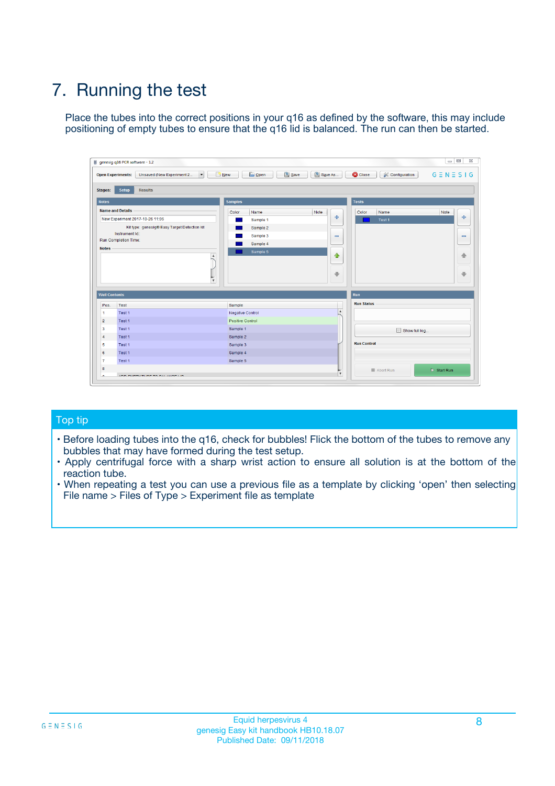# 7. Running the test

Place the tubes into the correct positions in your q16 as defined by the software, this may include positioning of empty tubes to ensure that the q16 lid is balanced. The run can then be started.

| genesig q16 PCR software - 1.2                                               |                                     | $\Box$                                                                                  |
|------------------------------------------------------------------------------|-------------------------------------|-----------------------------------------------------------------------------------------|
| Unsaved (New Experiment 2<br>$\vert \cdot \vert$<br><b>Open Experiments:</b> | <b>D</b> Open<br>Save<br>$\Box$ New | Save As<br><b>C</b> Close<br>$G \equiv N \equiv S \mid G$<br><b>&amp; Configuration</b> |
| Setup<br><b>Results</b><br><b>Stages:</b>                                    |                                     |                                                                                         |
| <b>Notes</b>                                                                 | Samples                             | <b>Tests</b>                                                                            |
| <b>Name and Details</b>                                                      | Color<br>Name                       | Note<br>Color<br>Note<br>Name                                                           |
| New Experiment 2017-10-26 11:06                                              | Sample 1                            | 条<br>علي<br>Test 1                                                                      |
| Kit type: genesig® Easy Target Detection kit                                 | Sample 2                            |                                                                                         |
| Instrument Id.:                                                              | Sample 3                            | $\qquad \qquad \blacksquare$<br>$\qquad \qquad \blacksquare$                            |
| Run Completion Time:                                                         | Sample 4                            |                                                                                         |
| <b>Notes</b>                                                                 | Sample 5<br>A<br>v                  | $\triangle$<br>4<br>$\oplus$<br>₩                                                       |
| <b>Well Contents</b>                                                         |                                     | <b>Run</b>                                                                              |
| Pos.<br>Test                                                                 | Sample                              | <b>Run Status</b>                                                                       |
| Test 1<br>-1                                                                 | <b>Negative Control</b>             | $\blacktriangle$                                                                        |
| $\overline{2}$<br>Test 1                                                     | <b>Positive Control</b>             |                                                                                         |
| $\overline{\mathbf{3}}$<br>Test 1                                            | Sample 1                            | Show full log                                                                           |
| Test 1<br>$\overline{4}$                                                     | Sample 2                            |                                                                                         |
| 5<br>Test 1                                                                  | Sample 3                            | <b>Run Control</b>                                                                      |
| 6<br>Test 1                                                                  | Sample 4                            |                                                                                         |
| $\overline{7}$<br>Test 1                                                     | Sample 5                            |                                                                                         |
| 8                                                                            |                                     | $\triangleright$ Start Run<br>Abort Run                                                 |
| <b>JOD FURTY TUDE TO BUILDED IN</b>                                          |                                     | $\overline{\mathbf{v}}$                                                                 |

#### Top tip

- Before loading tubes into the q16, check for bubbles! Flick the bottom of the tubes to remove any bubbles that may have formed during the test setup.
- Apply centrifugal force with a sharp wrist action to ensure all solution is at the bottom of the reaction tube.
- When repeating a test you can use a previous file as a template by clicking 'open' then selecting File name > Files of Type > Experiment file as template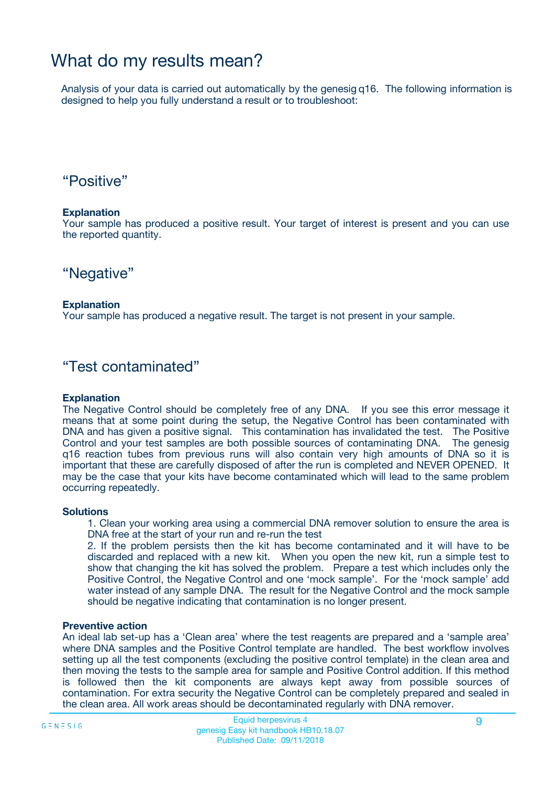## What do my results mean?

Analysis of your data is carried out automatically by the genesig q16. The following information is designed to help you fully understand a result or to troubleshoot:

### "Positive"

#### **Explanation**

Your sample has produced a positive result. Your target of interest is present and you can use the reported quantity.

"Negative"

#### **Explanation**

Your sample has produced a negative result. The target is not present in your sample.

### "Test contaminated"

#### **Explanation**

The Negative Control should be completely free of any DNA. If you see this error message it means that at some point during the setup, the Negative Control has been contaminated with DNA and has given a positive signal. This contamination has invalidated the test. The Positive Control and your test samples are both possible sources of contaminating DNA. The genesig q16 reaction tubes from previous runs will also contain very high amounts of DNA so it is important that these are carefully disposed of after the run is completed and NEVER OPENED. It may be the case that your kits have become contaminated which will lead to the same problem occurring repeatedly.

#### **Solutions**

1. Clean your working area using a commercial DNA remover solution to ensure the area is DNA free at the start of your run and re-run the test

2. If the problem persists then the kit has become contaminated and it will have to be discarded and replaced with a new kit. When you open the new kit, run a simple test to show that changing the kit has solved the problem. Prepare a test which includes only the Positive Control, the Negative Control and one 'mock sample'. For the 'mock sample' add water instead of any sample DNA. The result for the Negative Control and the mock sample should be negative indicating that contamination is no longer present.

#### **Preventive action**

An ideal lab set-up has a 'Clean area' where the test reagents are prepared and a 'sample area' where DNA samples and the Positive Control template are handled. The best workflow involves setting up all the test components (excluding the positive control template) in the clean area and then moving the tests to the sample area for sample and Positive Control addition. If this method is followed then the kit components are always kept away from possible sources of contamination. For extra security the Negative Control can be completely prepared and sealed in the clean area. All work areas should be decontaminated regularly with DNA remover.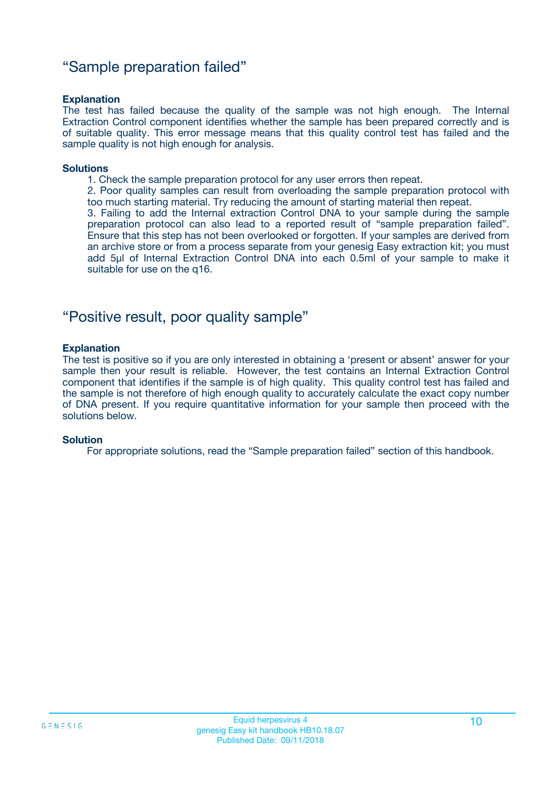### "Sample preparation failed"

#### **Explanation**

The test has failed because the quality of the sample was not high enough. The Internal Extraction Control component identifies whether the sample has been prepared correctly and is of suitable quality. This error message means that this quality control test has failed and the sample quality is not high enough for analysis.

#### **Solutions**

1. Check the sample preparation protocol for any user errors then repeat.

2. Poor quality samples can result from overloading the sample preparation protocol with too much starting material. Try reducing the amount of starting material then repeat.

3. Failing to add the Internal extraction Control DNA to your sample during the sample preparation protocol can also lead to a reported result of "sample preparation failed". Ensure that this step has not been overlooked or forgotten. If your samples are derived from an archive store or from a process separate from your genesig Easy extraction kit; you must add 5µl of Internal Extraction Control DNA into each 0.5ml of your sample to make it suitable for use on the q16.

### "Positive result, poor quality sample"

#### **Explanation**

The test is positive so if you are only interested in obtaining a 'present or absent' answer for your sample then your result is reliable. However, the test contains an Internal Extraction Control component that identifies if the sample is of high quality. This quality control test has failed and the sample is not therefore of high enough quality to accurately calculate the exact copy number of DNA present. If you require quantitative information for your sample then proceed with the solutions below.

#### **Solution**

For appropriate solutions, read the "Sample preparation failed" section of this handbook.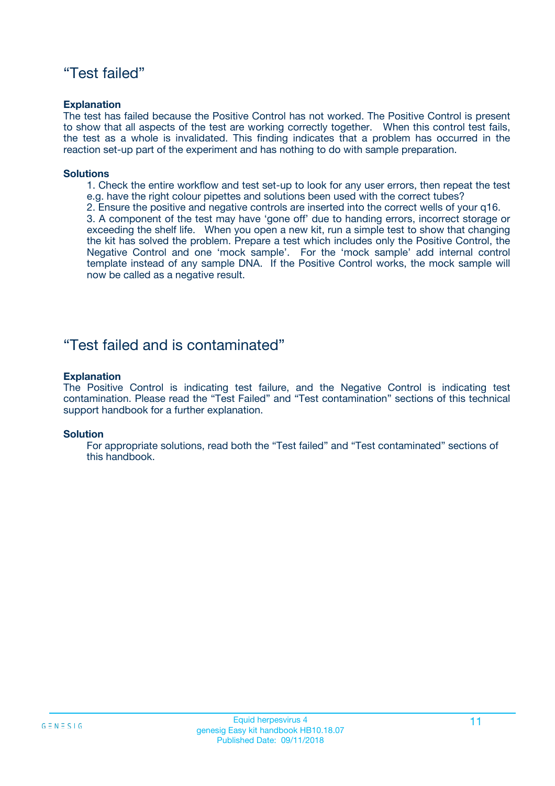### "Test failed"

#### **Explanation**

The test has failed because the Positive Control has not worked. The Positive Control is present to show that all aspects of the test are working correctly together. When this control test fails, the test as a whole is invalidated. This finding indicates that a problem has occurred in the reaction set-up part of the experiment and has nothing to do with sample preparation.

#### **Solutions**

- 1. Check the entire workflow and test set-up to look for any user errors, then repeat the test e.g. have the right colour pipettes and solutions been used with the correct tubes?
- 2. Ensure the positive and negative controls are inserted into the correct wells of your q16.

3. A component of the test may have 'gone off' due to handing errors, incorrect storage or exceeding the shelf life. When you open a new kit, run a simple test to show that changing the kit has solved the problem. Prepare a test which includes only the Positive Control, the Negative Control and one 'mock sample'. For the 'mock sample' add internal control template instead of any sample DNA. If the Positive Control works, the mock sample will now be called as a negative result.

### "Test failed and is contaminated"

#### **Explanation**

The Positive Control is indicating test failure, and the Negative Control is indicating test contamination. Please read the "Test Failed" and "Test contamination" sections of this technical support handbook for a further explanation.

#### **Solution**

For appropriate solutions, read both the "Test failed" and "Test contaminated" sections of this handbook.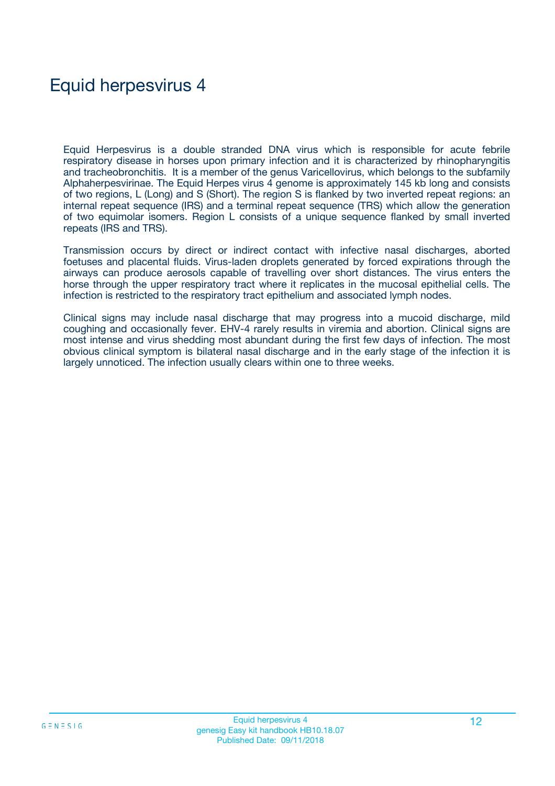## Equid herpesvirus 4

Equid Herpesvirus is a double stranded DNA virus which is responsible for acute febrile respiratory disease in horses upon primary infection and it is characterized by rhinopharyngitis and tracheobronchitis. It is a member of the genus Varicellovirus, which belongs to the subfamily Alphaherpesvirinae. The Equid Herpes virus 4 genome is approximately 145 kb long and consists of two regions, L (Long) and S (Short). The region S is flanked by two inverted repeat regions: an internal repeat sequence (IRS) and a terminal repeat sequence (TRS) which allow the generation of two equimolar isomers. Region L consists of a unique sequence flanked by small inverted repeats (IRS and TRS).

Transmission occurs by direct or indirect contact with infective nasal discharges, aborted foetuses and placental fluids. Virus-laden droplets generated by forced expirations through the airways can produce aerosols capable of travelling over short distances. The virus enters the horse through the upper respiratory tract where it replicates in the mucosal epithelial cells. The infection is restricted to the respiratory tract epithelium and associated lymph nodes.

Clinical signs may include nasal discharge that may progress into a mucoid discharge, mild coughing and occasionally fever. EHV-4 rarely results in viremia and abortion. Clinical signs are most intense and virus shedding most abundant during the first few days of infection. The most obvious clinical symptom is bilateral nasal discharge and in the early stage of the infection it is largely unnoticed. The infection usually clears within one to three weeks.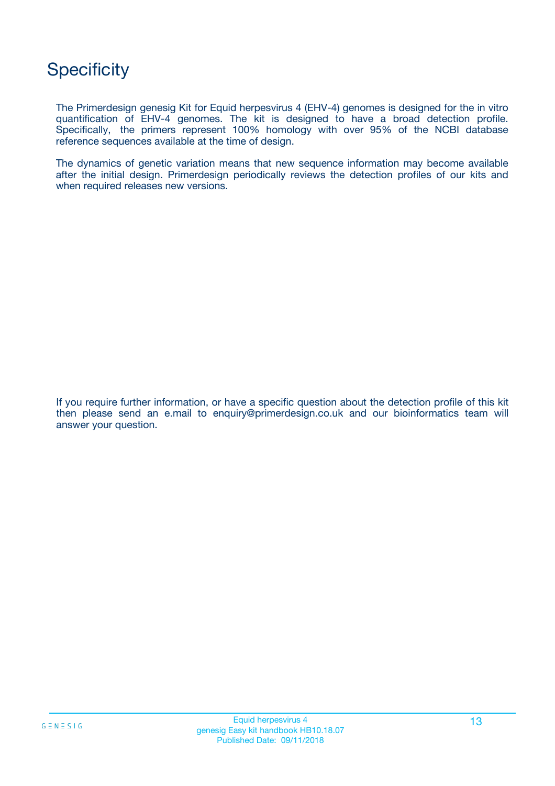## **Specificity**

The Primerdesign genesig Kit for Equid herpesvirus 4 (EHV-4) genomes is designed for the in vitro quantification of EHV-4 genomes. The kit is designed to have a broad detection profile. Specifically, the primers represent 100% homology with over 95% of the NCBI database reference sequences available at the time of design.

The dynamics of genetic variation means that new sequence information may become available after the initial design. Primerdesign periodically reviews the detection profiles of our kits and when required releases new versions.

If you require further information, or have a specific question about the detection profile of this kit then please send an e.mail to enquiry@primerdesign.co.uk and our bioinformatics team will answer your question.